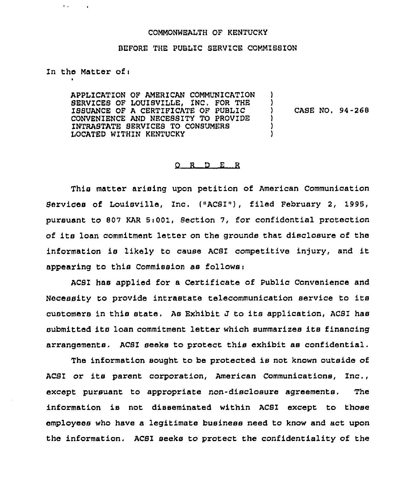## COMMONWEALTH OF KENTUCKY

## BEFORE THE PUBLIC 8ERVICE COMMI8SION

## In the Matter of <sup>i</sup>

 $\sim$ 

 $\mathbf{r}$  ,  $\mathbf{r}$ 

APPLICATION OF AMERICAN COMMUNICATION SERV1CES OF LOUISVILLE, INC. FOR THE ISSUANCE OF A CERTIFICATE OF PUBLZC CONVENIENCE AND NECESSITY TO PROVIDE INTRABTATE SERVICES TO CONSUMERS LOCATED WITHIN KENTUCKY ) ) ) CASE NO, 94-268 ) ) )

## R D E R

This matter arising upon petition of American Communication Services of Louisville, Inc. ("ACSI"), filed February 2, 1995, pursuant to 807 KAR Si001, Section 7, for confidential protection of its loan commitment letter on the grounds that disclosure of the information is likely to cause ACSI competitive injury, and it appearing to this Commission as follows:

ACSZ has applied for a Certificate of Public Convenience and Necessity to provide intrastate telecommunication service to its customers in this state, As Exhibit J to its application, ACSZ has submitted its loan commitment letter which summarizes its financing arrangements, ACSI seeks to protect this exhibit as confidential.

The information sought to be protected is not known outside of ACSI or its parent corporation, American Communications, Inc., except pursuant to appropriate non-disclosure agreements. The information is not disseminated within ACSI except to those employees who have a legitimate business need to know and act upon the information, ACBI seeks to protect the confidentiality of the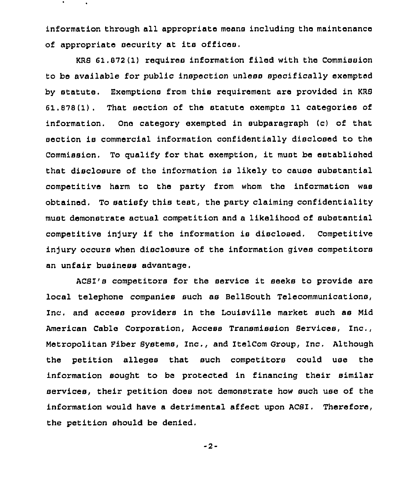information through all appropriate means including the maintenance of appropriate security at its offices.

KRB 61.872(1) requires information filed with the Commission to be available for public inspection unless specifically exempted by statute. Exemptions from this requirement are provided in KRB 61.878(1), That section of the statute cxempts 11 categories of information. One category exempted in subparagraph (c) of that section is commercial information confidentially disclosed to the Commission. To qualify for that exemption, it must be established that disclosure of the information is likely to cause substantial competitive harm to the party from whom the information was obtained. To satisfy this test, the party claiming confidentiality must demonstrate actual competition and a likelihood of substantial competitive in)ury if the information is disclosed. Competitive injury occurs when disclosure of the information gives competitors an unfair business advantage.

ACBI's competitors for the service it seeks to provide are local telephone companies such as BellBouth Telecommunications, inc. and access providers in the Louisville market such as Mid American Cable Corporation, Access Transmission Bervices, Inc., Metropolitan Fiber Bystems, Inc,, and ItelCom Group, Inc. Although the petition alleges that such competitors could use the information sought to be protected in financing their similar services, their petition does not demonstrate how such use of the information would have a detrimental affect upon ACSI. Therefore, the petition should be denied.

-2-